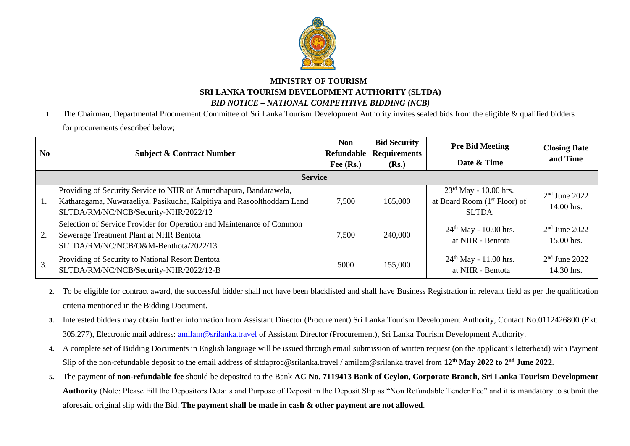

## **MINISTRY OF TOURISM SRI LANKA TOURISM DEVELOPMENT AUTHORITY (SLTDA)** *BID NOTICE – NATIONAL COMPETITIVE BIDDING (NCB)*

**1.** The Chairman, Departmental Procurement Committee of Sri Lanka Tourism Development Authority invites sealed bids from the eligible & qualified bidders for procurements described below;

| N <sub>0</sub> | <b>Subject &amp; Contract Number</b>                                                                                                                                                | Non<br>Refundable | <b>Bid Security</b><br><b>Requirements</b> | <b>Pre Bid Meeting</b>                                                                        | <b>Closing Date</b><br>and Time |
|----------------|-------------------------------------------------------------------------------------------------------------------------------------------------------------------------------------|-------------------|--------------------------------------------|-----------------------------------------------------------------------------------------------|---------------------------------|
|                |                                                                                                                                                                                     | Fee $(Rs.)$       | (Rs.)                                      | Date & Time                                                                                   |                                 |
| <b>Service</b> |                                                                                                                                                                                     |                   |                                            |                                                                                               |                                 |
|                | Providing of Security Service to NHR of Anuradhapura, Bandarawela,<br>Katharagama, Nuwaraeliya, Pasikudha, Kalpitiya and Rasoolthoddam Land<br>SLTDA/RM/NC/NCB/Security-NHR/2022/12 | 7,500             | 165,000                                    | $23^{\text{rd}}$ May - 10.00 hrs.<br>at Board Room (1 <sup>st</sup> Floor) of<br><b>SLTDA</b> | $2nd$ June 2022<br>14.00 hrs.   |
| 2.             | Selection of Service Provider for Operation and Maintenance of Common<br>Sewerage Treatment Plant at NHR Bentota<br>SLTDA/RM/NC/NCB/O&M-Benthota/2022/13                            | 7,500             | 240,000                                    | $24th$ May - 10.00 hrs.<br>at NHR - Bentota                                                   | $2nd$ June 2022<br>15.00 hrs.   |
| 3.             | Providing of Security to National Resort Bentota<br>SLTDA/RM/NC/NCB/Security-NHR/2022/12-B                                                                                          | 5000              | 155,000                                    | $24th$ May - 11.00 hrs.<br>at NHR - Bentota                                                   | $2nd$ June 2022<br>14.30 hrs.   |

- **2.** To be eligible for contract award, the successful bidder shall not have been blacklisted and shall have Business Registration in relevant field as per the qualification criteria mentioned in the Bidding Document.
- **3.** Interested bidders may obtain further information from Assistant Director (Procurement) Sri Lanka Tourism Development Authority, Contact No.0112426800 (Ext: 305,277), Electronic mail address: *amilam@srilanka.travel* of Assistant Director (Procurement), Sri Lanka Tourism Development Authority.
- **4.** A complete set of Bidding Documents in English language will be issued through email submission of written request (on the applicant's letterhead) with Payment Slip of the non-refundable deposit to the email address of sltdaproc@srilanka.travel / amilam@srilanka.travel from 12<sup>th</sup> May 2022 to 2<sup>nd</sup> June 2022.
- **5.** The payment of **non-refundable fee** should be deposited to the Bank **AC No. 7119413 Bank of Ceylon, Corporate Branch, Sri Lanka Tourism Development Authority** (Note: Please Fill the Depositors Details and Purpose of Deposit in the Deposit Slip as "Non Refundable Tender Fee" and it is mandatory to submit the aforesaid original slip with the Bid. **The payment shall be made in cash & other payment are not allowed**.